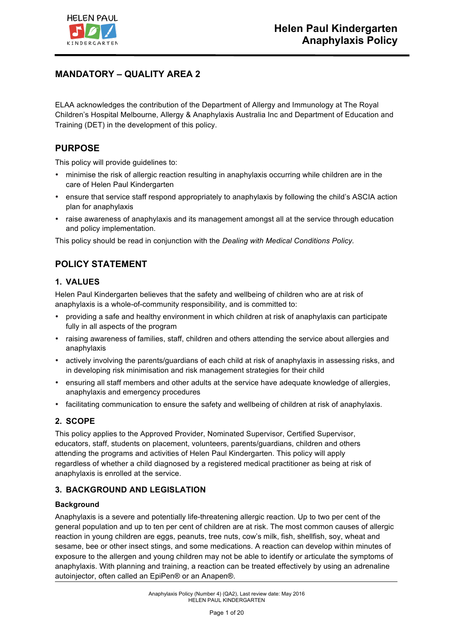

# **MANDATORY – QUALITY AREA 2**

ELAA acknowledges the contribution of the Department of Allergy and Immunology at The Royal Children's Hospital Melbourne, Allergy & Anaphylaxis Australia Inc and Department of Education and Training (DET) in the development of this policy.

# **PURPOSE**

This policy will provide guidelines to:

- minimise the risk of allergic reaction resulting in anaphylaxis occurring while children are in the care of Helen Paul Kindergarten
- ensure that service staff respond appropriately to anaphylaxis by following the child's ASCIA action plan for anaphylaxis
- raise awareness of anaphylaxis and its management amongst all at the service through education and policy implementation.

This policy should be read in conjunction with the *Dealing with Medical Conditions Policy.*

# **POLICY STATEMENT**

### **1. VALUES**

Helen Paul Kindergarten believes that the safety and wellbeing of children who are at risk of anaphylaxis is a whole-of-community responsibility, and is committed to:

- providing a safe and healthy environment in which children at risk of anaphylaxis can participate fully in all aspects of the program
- raising awareness of families, staff, children and others attending the service about allergies and anaphylaxis
- actively involving the parents/guardians of each child at risk of anaphylaxis in assessing risks, and in developing risk minimisation and risk management strategies for their child
- ensuring all staff members and other adults at the service have adequate knowledge of allergies, anaphylaxis and emergency procedures
- facilitating communication to ensure the safety and wellbeing of children at risk of anaphylaxis.

### **2. SCOPE**

This policy applies to the Approved Provider, Nominated Supervisor, Certified Supervisor, educators, staff, students on placement, volunteers, parents/guardians, children and others attending the programs and activities of Helen Paul Kindergarten. This policy will apply regardless of whether a child diagnosed by a registered medical practitioner as being at risk of anaphylaxis is enrolled at the service.

### **3. BACKGROUND AND LEGISLATION**

### **Background**

Anaphylaxis is a severe and potentially life-threatening allergic reaction. Up to two per cent of the general population and up to ten per cent of children are at risk. The most common causes of allergic reaction in young children are eggs, peanuts, tree nuts, cow's milk, fish, shellfish, soy, wheat and sesame, bee or other insect stings, and some medications. A reaction can develop within minutes of exposure to the allergen and young children may not be able to identify or articulate the symptoms of anaphylaxis. With planning and training, a reaction can be treated effectively by using an adrenaline autoinjector, often called an EpiPen® or an Anapen®.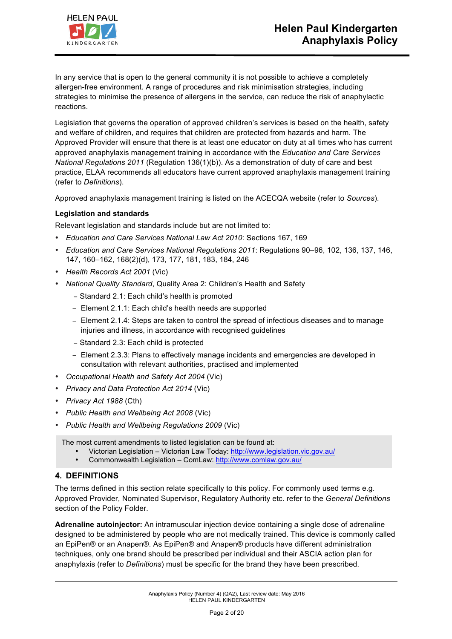

In any service that is open to the general community it is not possible to achieve a completely allergen-free environment. A range of procedures and risk minimisation strategies, including strategies to minimise the presence of allergens in the service, can reduce the risk of anaphylactic reactions.

Legislation that governs the operation of approved children's services is based on the health, safety and welfare of children, and requires that children are protected from hazards and harm. The Approved Provider will ensure that there is at least one educator on duty at all times who has current approved anaphylaxis management training in accordance with the *Education and Care Services National Regulations 2011* (Regulation 136(1)(b)). As a demonstration of duty of care and best practice, ELAA recommends all educators have current approved anaphylaxis management training (refer to *Definitions*).

Approved anaphylaxis management training is listed on the ACECQA website (refer to *Sources*).

### **Legislation and standards**

Relevant legislation and standards include but are not limited to:

- *Education and Care Services National Law Act 2010*: Sections 167, 169
- *Education and Care Services National Regulations 2011*: Regulations 90–96, 102, 136, 137, 146, 147, 160–162, 168(2)(d), 173, 177, 181, 183, 184, 246
- *Health Records Act 2001* (Vic)
- *National Quality Standard*, Quality Area 2: Children's Health and Safety
	- − Standard 2.1: Each child's health is promoted
	- − Element 2.1.1: Each child's health needs are supported
	- − Element 2.1.4: Steps are taken to control the spread of infectious diseases and to manage injuries and illness, in accordance with recognised guidelines
	- − Standard 2.3: Each child is protected
	- − Element 2.3.3: Plans to effectively manage incidents and emergencies are developed in consultation with relevant authorities, practised and implemented
- *Occupational Health and Safety Act 2004* (Vic)
- *Privacy and Data Protection Act 2014* (Vic)
- *Privacy Act 1988* (Cth)
- *Public Health and Wellbeing Act 2008* (Vic)
- *Public Health and Wellbeing Regulations 2009* (Vic)

The most current amendments to listed legislation can be found at:

- Victorian Legislation Victorian Law Today: http://www.legislation.vic.gov.au/
- Commonwealth Legislation ComLaw: http://www.comlaw.gov.au/

### **4. DEFINITIONS**

The terms defined in this section relate specifically to this policy. For commonly used terms e.g. Approved Provider, Nominated Supervisor, Regulatory Authority etc. refer to the *General Definitions* section of the Policy Folder.

**Adrenaline autoinjector:** An intramuscular injection device containing a single dose of adrenaline designed to be administered by people who are not medically trained. This device is commonly called an EpiPen® or an Anapen®. As EpiPen® and Anapen® products have different administration techniques, only one brand should be prescribed per individual and their ASCIA action plan for anaphylaxis (refer to *Definitions*) must be specific for the brand they have been prescribed.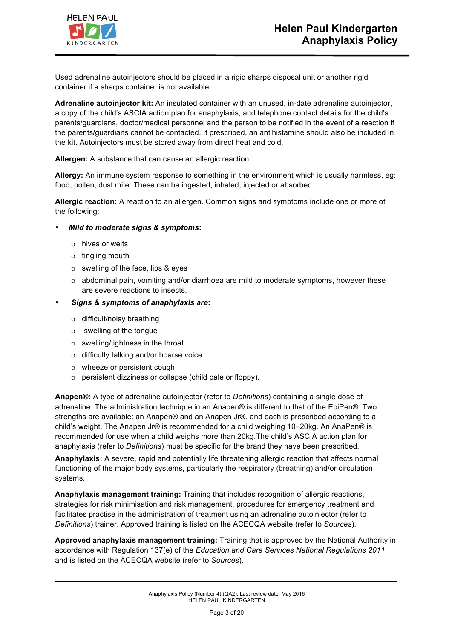

Used adrenaline autoinjectors should be placed in a rigid sharps disposal unit or another rigid container if a sharps container is not available.

**Adrenaline autoinjector kit:** An insulated container with an unused, in-date adrenaline autoinjector, a copy of the child's ASCIA action plan for anaphylaxis, and telephone contact details for the child's parents/guardians, doctor/medical personnel and the person to be notified in the event of a reaction if the parents/guardians cannot be contacted. If prescribed, an antihistamine should also be included in the kit. Autoinjectors must be stored away from direct heat and cold.

**Allergen:** A substance that can cause an allergic reaction.

**Allergy:** An immune system response to something in the environment which is usually harmless, eg: food, pollen, dust mite. These can be ingested, inhaled, injected or absorbed.

**Allergic reaction:** A reaction to an allergen. Common signs and symptoms include one or more of the following:

- *Mild to moderate signs & symptoms***:**
	- ο hives or welts
	- ο tingling mouth
	- ο swelling of the face, lips & eyes
	- ο abdominal pain, vomiting and/or diarrhoea are mild to moderate symptoms, however these are severe reactions to insects.
- *Signs & symptoms of anaphylaxis are***:**
	- ο difficult/noisy breathing
	- ο swelling of the tongue
	- ο swelling/tightness in the throat
	- ο difficulty talking and/or hoarse voice
	- ο wheeze or persistent cough
	- ο persistent dizziness or collapse (child pale or floppy).

**Anapen®:** A type of adrenaline autoinjector (refer to *Definitions*) containing a single dose of adrenaline. The administration technique in an Anapen® is different to that of the EpiPen®. Two strengths are available: an Anapen® and an Anapen Jr®, and each is prescribed according to a child's weight. The Anapen Jr® is recommended for a child weighing 10–20kg. An AnaPen® is recommended for use when a child weighs more than 20kg.The child's ASCIA action plan for anaphylaxis (refer to *Definitions*) must be specific for the brand they have been prescribed.

**Anaphylaxis:** A severe, rapid and potentially life threatening allergic reaction that affects normal functioning of the major body systems, particularly the respiratory (breathing) and/or circulation systems.

**Anaphylaxis management training:** Training that includes recognition of allergic reactions, strategies for risk minimisation and risk management, procedures for emergency treatment and facilitates practise in the administration of treatment using an adrenaline autoinjector (refer to *Definitions*) trainer. Approved training is listed on the ACECQA website (refer to *Sources*).

**Approved anaphylaxis management training:** Training that is approved by the National Authority in accordance with Regulation 137(e) of the *Education and Care Services National Regulations 2011*, and is listed on the ACECQA website (refer to *Sources*).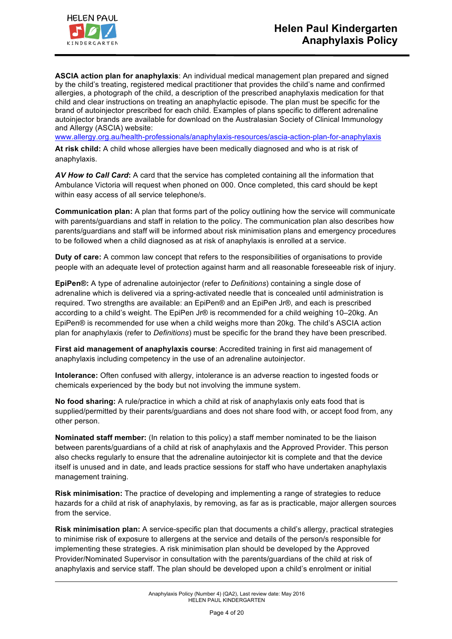

**ASCIA action plan for anaphylaxis**: An individual medical management plan prepared and signed by the child's treating, registered medical practitioner that provides the child's name and confirmed allergies, a photograph of the child, a description of the prescribed anaphylaxis medication for that child and clear instructions on treating an anaphylactic episode. The plan must be specific for the brand of autoinjector prescribed for each child. Examples of plans specific to different adrenaline autoinjector brands are available for download on the Australasian Society of Clinical Immunology and Allergy (ASCIA) website:

www.allergy.org.au/health-professionals/anaphylaxis-resources/ascia-action-plan-for-anaphylaxis

**At risk child:** A child whose allergies have been medically diagnosed and who is at risk of anaphylaxis.

*AV How to Call Card***:** A card that the service has completed containing all the information that Ambulance Victoria will request when phoned on 000. Once completed, this card should be kept within easy access of all service telephone/s.

**Communication plan:** A plan that forms part of the policy outlining how the service will communicate with parents/guardians and staff in relation to the policy. The communication plan also describes how parents/guardians and staff will be informed about risk minimisation plans and emergency procedures to be followed when a child diagnosed as at risk of anaphylaxis is enrolled at a service.

**Duty of care:** A common law concept that refers to the responsibilities of organisations to provide people with an adequate level of protection against harm and all reasonable foreseeable risk of injury.

**EpiPen®:** A type of adrenaline autoinjector (refer to *Definitions*) containing a single dose of adrenaline which is delivered via a spring-activated needle that is concealed until administration is required. Two strengths are available: an EpiPen® and an EpiPen Jr®, and each is prescribed according to a child's weight. The EpiPen Jr® is recommended for a child weighing 10–20kg. An EpiPen® is recommended for use when a child weighs more than 20kg. The child's ASCIA action plan for anaphylaxis (refer to *Definitions*) must be specific for the brand they have been prescribed.

**First aid management of anaphylaxis course**: Accredited training in first aid management of anaphylaxis including competency in the use of an adrenaline autoinjector.

**Intolerance:** Often confused with allergy, intolerance is an adverse reaction to ingested foods or chemicals experienced by the body but not involving the immune system.

**No food sharing:** A rule/practice in which a child at risk of anaphylaxis only eats food that is supplied/permitted by their parents/guardians and does not share food with, or accept food from, any other person.

**Nominated staff member:** (In relation to this policy) a staff member nominated to be the liaison between parents/guardians of a child at risk of anaphylaxis and the Approved Provider. This person also checks regularly to ensure that the adrenaline autoinjector kit is complete and that the device itself is unused and in date, and leads practice sessions for staff who have undertaken anaphylaxis management training.

**Risk minimisation:** The practice of developing and implementing a range of strategies to reduce hazards for a child at risk of anaphylaxis, by removing, as far as is practicable, major allergen sources from the service.

**Risk minimisation plan:** A service-specific plan that documents a child's allergy, practical strategies to minimise risk of exposure to allergens at the service and details of the person/s responsible for implementing these strategies. A risk minimisation plan should be developed by the Approved Provider/Nominated Supervisor in consultation with the parents/guardians of the child at risk of anaphylaxis and service staff. The plan should be developed upon a child's enrolment or initial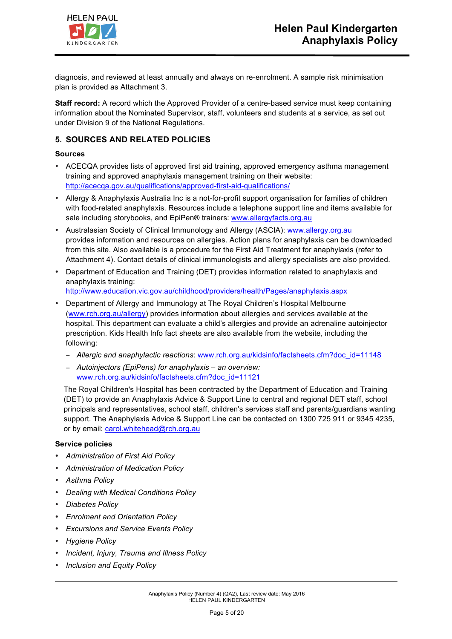

diagnosis, and reviewed at least annually and always on re-enrolment. A sample risk minimisation plan is provided as Attachment 3.

**Staff record:** A record which the Approved Provider of a centre-based service must keep containing information about the Nominated Supervisor, staff, volunteers and students at a service, as set out under Division 9 of the National Regulations.

### **5. SOURCES AND RELATED POLICIES**

#### **Sources**

- ACECQA provides lists of approved first aid training, approved emergency asthma management training and approved anaphylaxis management training on their website: http://acecqa.gov.au/qualifications/approved-first-aid-qualifications/
- Allergy & Anaphylaxis Australia Inc is a not-for-profit support organisation for families of children with food-related anaphylaxis. Resources include a telephone support line and items available for sale including storybooks, and EpiPen® trainers: www.allergyfacts.org.au
- Australasian Society of Clinical Immunology and Allergy (ASCIA): www.allergy.org.au provides information and resources on allergies. Action plans for anaphylaxis can be downloaded from this site. Also available is a procedure for the First Aid Treatment for anaphylaxis (refer to Attachment 4). Contact details of clinical immunologists and allergy specialists are also provided.
- Department of Education and Training (DET) provides information related to anaphylaxis and anaphylaxis training:

http://www.education.vic.gov.au/childhood/providers/health/Pages/anaphylaxis.aspx

- Department of Allergy and Immunology at The Royal Children's Hospital Melbourne (www.rch.org.au/allergy) provides information about allergies and services available at the hospital. This department can evaluate a child's allergies and provide an adrenaline autoinjector prescription. Kids Health Info fact sheets are also available from the website, including the following:
	- − *Allergic and anaphylactic reactions*: www.rch.org.au/kidsinfo/factsheets.cfm?doc\_id=11148
	- − *Autoinjectors (EpiPens) for anaphylaxis – an overview:*  www.rch.org.au/kidsinfo/factsheets.cfm?doc\_id=11121

The Royal Children's Hospital has been contracted by the Department of Education and Training (DET) to provide an Anaphylaxis Advice & Support Line to central and regional DET staff, school principals and representatives, school staff, children's services staff and parents/guardians wanting support. The Anaphylaxis Advice & Support Line can be contacted on 1300 725 911 or 9345 4235, or by email: carol.whitehead@rch.org.au

#### **Service policies**

- *Administration of First Aid Policy*
- *Administration of Medication Policy*
- *Asthma Policy*
- *Dealing with Medical Conditions Policy*
- *Diabetes Policy*
- *Enrolment and Orientation Policy*
- *Excursions and Service Events Policy*
- *Hygiene Policy*
- *Incident, Injury, Trauma and Illness Policy*
- *Inclusion and Equity Policy*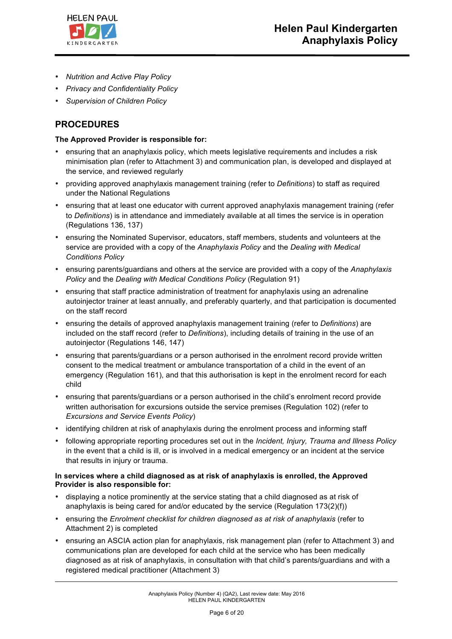

- *Nutrition and Active Play Policy*
- *Privacy and Confidentiality Policy*
- *Supervision of Children Policy*

# **PROCEDURES**

#### **The Approved Provider is responsible for:**

- ensuring that an anaphylaxis policy, which meets legislative requirements and includes a risk minimisation plan (refer to Attachment 3) and communication plan, is developed and displayed at the service, and reviewed regularly
- providing approved anaphylaxis management training (refer to *Definitions*) to staff as required under the National Regulations
- ensuring that at least one educator with current approved anaphylaxis management training (refer to *Definitions*) is in attendance and immediately available at all times the service is in operation (Regulations 136, 137)
- ensuring the Nominated Supervisor, educators, staff members, students and volunteers at the service are provided with a copy of the *Anaphylaxis Policy* and the *Dealing with Medical Conditions Policy*
- ensuring parents/guardians and others at the service are provided with a copy of the *Anaphylaxis Policy* and the *Dealing with Medical Conditions Policy* (Regulation 91)
- ensuring that staff practice administration of treatment for anaphylaxis using an adrenaline autoinjector trainer at least annually, and preferably quarterly, and that participation is documented on the staff record
- ensuring the details of approved anaphylaxis management training (refer to *Definitions*) are included on the staff record (refer to *Definitions*), including details of training in the use of an autoinjector (Regulations 146, 147)
- ensuring that parents/guardians or a person authorised in the enrolment record provide written consent to the medical treatment or ambulance transportation of a child in the event of an emergency (Regulation 161), and that this authorisation is kept in the enrolment record for each child
- ensuring that parents/guardians or a person authorised in the child's enrolment record provide written authorisation for excursions outside the service premises (Regulation 102) (refer to *Excursions and Service Events Policy*)
- identifying children at risk of anaphylaxis during the enrolment process and informing staff
- following appropriate reporting procedures set out in the *Incident, Injury, Trauma and Illness Policy* in the event that a child is ill, or is involved in a medical emergency or an incident at the service that results in injury or trauma.

#### **In services where a child diagnosed as at risk of anaphylaxis is enrolled, the Approved Provider is also responsible for:**

- displaying a notice prominently at the service stating that a child diagnosed as at risk of anaphylaxis is being cared for and/or educated by the service (Regulation 173(2)(f))
- ensuring the *Enrolment checklist for children diagnosed as at risk of anaphylaxis* (refer to Attachment 2) is completed
- ensuring an ASCIA action plan for anaphylaxis, risk management plan (refer to Attachment 3) and communications plan are developed for each child at the service who has been medically diagnosed as at risk of anaphylaxis, in consultation with that child's parents/guardians and with a registered medical practitioner (Attachment 3)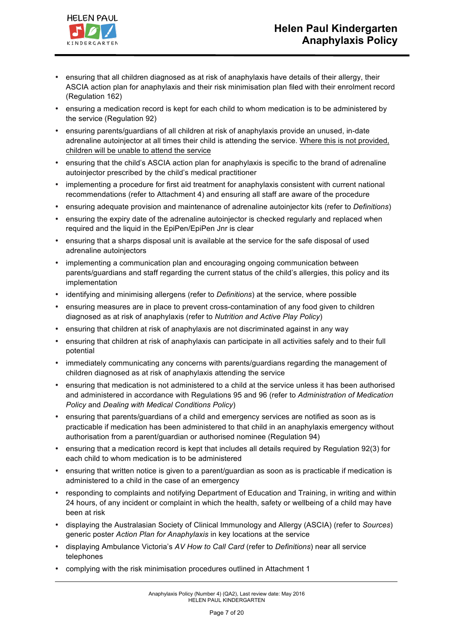



- ensuring that all children diagnosed as at risk of anaphylaxis have details of their allergy, their ASCIA action plan for anaphylaxis and their risk minimisation plan filed with their enrolment record (Regulation 162)
- ensuring a medication record is kept for each child to whom medication is to be administered by the service (Regulation 92)
- ensuring parents/guardians of all children at risk of anaphylaxis provide an unused, in-date adrenaline autoinjector at all times their child is attending the service. Where this is not provided, children will be unable to attend the service
- ensuring that the child's ASCIA action plan for anaphylaxis is specific to the brand of adrenaline autoinjector prescribed by the child's medical practitioner
- implementing a procedure for first aid treatment for anaphylaxis consistent with current national recommendations (refer to Attachment 4) and ensuring all staff are aware of the procedure
- ensuring adequate provision and maintenance of adrenaline autoinjector kits (refer to *Definitions*)
- ensuring the expiry date of the adrenaline autoinjector is checked regularly and replaced when required and the liquid in the EpiPen/EpiPen Jnr is clear
- ensuring that a sharps disposal unit is available at the service for the safe disposal of used adrenaline autoinjectors
- implementing a communication plan and encouraging ongoing communication between parents/guardians and staff regarding the current status of the child's allergies, this policy and its implementation
- identifying and minimising allergens (refer to *Definitions*) at the service, where possible
- ensuring measures are in place to prevent cross-contamination of any food given to children diagnosed as at risk of anaphylaxis (refer to *Nutrition and Active Play Policy*)
- ensuring that children at risk of anaphylaxis are not discriminated against in any way
- ensuring that children at risk of anaphylaxis can participate in all activities safely and to their full potential
- immediately communicating any concerns with parents/guardians regarding the management of children diagnosed as at risk of anaphylaxis attending the service
- ensuring that medication is not administered to a child at the service unless it has been authorised and administered in accordance with Regulations 95 and 96 (refer to *Administration of Medication Policy* and *Dealing with Medical Conditions Policy*)
- ensuring that parents/guardians of a child and emergency services are notified as soon as is practicable if medication has been administered to that child in an anaphylaxis emergency without authorisation from a parent/guardian or authorised nominee (Regulation 94)
- ensuring that a medication record is kept that includes all details required by Regulation 92(3) for each child to whom medication is to be administered
- ensuring that written notice is given to a parent/guardian as soon as is practicable if medication is administered to a child in the case of an emergency
- responding to complaints and notifying Department of Education and Training, in writing and within 24 hours, of any incident or complaint in which the health, safety or wellbeing of a child may have been at risk
- displaying the Australasian Society of Clinical Immunology and Allergy (ASCIA) (refer to *Sources*) generic poster *Action Plan for Anaphylaxis* in key locations at the service
- displaying Ambulance Victoria's *AV How to Call Card* (refer to *Definitions*) near all service telephones
- complying with the risk minimisation procedures outlined in Attachment 1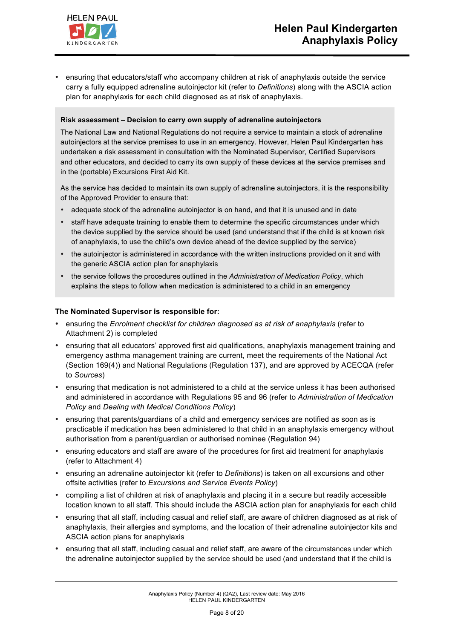

• ensuring that educators/staff who accompany children at risk of anaphylaxis outside the service carry a fully equipped adrenaline autoinjector kit (refer to *Definitions*) along with the ASCIA action plan for anaphylaxis for each child diagnosed as at risk of anaphylaxis.

#### **Risk assessment – Decision to carry own supply of adrenaline autoinjectors**

The National Law and National Regulations do not require a service to maintain a stock of adrenaline autoinjectors at the service premises to use in an emergency. However, Helen Paul Kindergarten has undertaken a risk assessment in consultation with the Nominated Supervisor, Certified Supervisors and other educators, and decided to carry its own supply of these devices at the service premises and in the (portable) Excursions First Aid Kit.

As the service has decided to maintain its own supply of adrenaline autoinjectors, it is the responsibility of the Approved Provider to ensure that:

- adequate stock of the adrenaline autoinjector is on hand, and that it is unused and in date
- staff have adequate training to enable them to determine the specific circumstances under which the device supplied by the service should be used (and understand that if the child is at known risk of anaphylaxis, to use the child's own device ahead of the device supplied by the service)
- the autoinjector is administered in accordance with the written instructions provided on it and with the generic ASCIA action plan for anaphylaxis
- the service follows the procedures outlined in the *Administration of Medication Policy*, which explains the steps to follow when medication is administered to a child in an emergency

#### **The Nominated Supervisor is responsible for:**

- ensuring the *Enrolment checklist for children diagnosed as at risk of anaphylaxis* (refer to Attachment 2) is completed
- ensuring that all educators' approved first aid qualifications, anaphylaxis management training and emergency asthma management training are current, meet the requirements of the National Act (Section 169(4)) and National Regulations (Regulation 137), and are approved by ACECQA (refer to *Sources*)
- ensuring that medication is not administered to a child at the service unless it has been authorised and administered in accordance with Regulations 95 and 96 (refer to *Administration of Medication Policy* and *Dealing with Medical Conditions Policy*)
- ensuring that parents/guardians of a child and emergency services are notified as soon as is practicable if medication has been administered to that child in an anaphylaxis emergency without authorisation from a parent/guardian or authorised nominee (Regulation 94)
- ensuring educators and staff are aware of the procedures for first aid treatment for anaphylaxis (refer to Attachment 4)
- ensuring an adrenaline autoinjector kit (refer to *Definitions*) is taken on all excursions and other offsite activities (refer to *Excursions and Service Events Policy*)
- compiling a list of children at risk of anaphylaxis and placing it in a secure but readily accessible location known to all staff. This should include the ASCIA action plan for anaphylaxis for each child
- ensuring that all staff, including casual and relief staff, are aware of children diagnosed as at risk of anaphylaxis, their allergies and symptoms, and the location of their adrenaline autoinjector kits and ASCIA action plans for anaphylaxis
- ensuring that all staff, including casual and relief staff, are aware of the circumstances under which the adrenaline autoinjector supplied by the service should be used (and understand that if the child is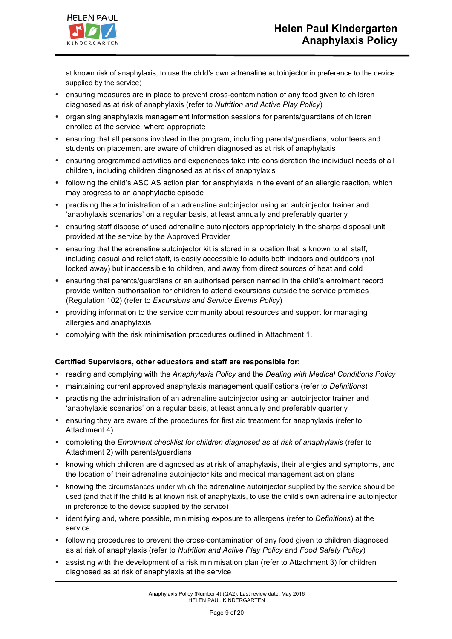

at known risk of anaphylaxis, to use the child's own adrenaline autoinjector in preference to the device supplied by the service)

- ensuring measures are in place to prevent cross-contamination of any food given to children diagnosed as at risk of anaphylaxis (refer to *Nutrition and Active Play Policy*)
- organising anaphylaxis management information sessions for parents/guardians of children enrolled at the service, where appropriate
- ensuring that all persons involved in the program, including parents/guardians, volunteers and students on placement are aware of children diagnosed as at risk of anaphylaxis
- ensuring programmed activities and experiences take into consideration the individual needs of all children, including children diagnosed as at risk of anaphylaxis
- following the child's ASCIAS action plan for anaphylaxis in the event of an allergic reaction, which may progress to an anaphylactic episode
- practising the administration of an adrenaline autoinjector using an autoinjector trainer and 'anaphylaxis scenarios' on a regular basis, at least annually and preferably quarterly
- ensuring staff dispose of used adrenaline autoinjectors appropriately in the sharps disposal unit provided at the service by the Approved Provider
- ensuring that the adrenaline autoinjector kit is stored in a location that is known to all staff, including casual and relief staff, is easily accessible to adults both indoors and outdoors (not locked away) but inaccessible to children, and away from direct sources of heat and cold
- ensuring that parents/guardians or an authorised person named in the child's enrolment record provide written authorisation for children to attend excursions outside the service premises (Regulation 102) (refer to *Excursions and Service Events Policy*)
- providing information to the service community about resources and support for managing allergies and anaphylaxis
- complying with the risk minimisation procedures outlined in Attachment 1.

### **Certified Supervisors, other educators and staff are responsible for:**

- reading and complying with the *Anaphylaxis Policy* and the *Dealing with Medical Conditions Policy*
- maintaining current approved anaphylaxis management qualifications (refer to *Definitions*)
- practising the administration of an adrenaline autoinjector using an autoinjector trainer and 'anaphylaxis scenarios' on a regular basis, at least annually and preferably quarterly
- ensuring they are aware of the procedures for first aid treatment for anaphylaxis (refer to Attachment 4)
- completing the *Enrolment checklist for children diagnosed as at risk of anaphylaxis* (refer to Attachment 2) with parents/guardians
- knowing which children are diagnosed as at risk of anaphylaxis, their allergies and symptoms, and the location of their adrenaline autoinjector kits and medical management action plans
- knowing the circumstances under which the adrenaline autoinjector supplied by the service should be used (and that if the child is at known risk of anaphylaxis, to use the child's own adrenaline autoinjector in preference to the device supplied by the service)
- identifying and, where possible, minimising exposure to allergens (refer to *Definitions*) at the service
- following procedures to prevent the cross-contamination of any food given to children diagnosed as at risk of anaphylaxis (refer to *Nutrition and Active Play Policy* and *Food Safety Policy*)
- assisting with the development of a risk minimisation plan (refer to Attachment 3) for children diagnosed as at risk of anaphylaxis at the service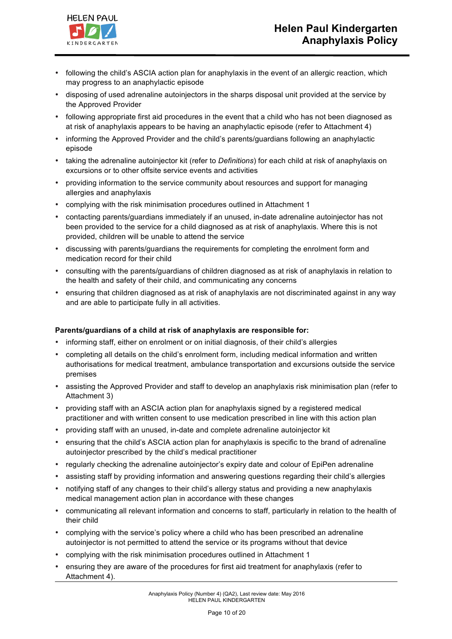

- following the child's ASCIA action plan for anaphylaxis in the event of an allergic reaction, which may progress to an anaphylactic episode
- disposing of used adrenaline autoinjectors in the sharps disposal unit provided at the service by the Approved Provider
- following appropriate first aid procedures in the event that a child who has not been diagnosed as at risk of anaphylaxis appears to be having an anaphylactic episode (refer to Attachment 4)
- informing the Approved Provider and the child's parents/guardians following an anaphylactic episode
- taking the adrenaline autoinjector kit (refer to *Definitions*) for each child at risk of anaphylaxis on excursions or to other offsite service events and activities
- providing information to the service community about resources and support for managing allergies and anaphylaxis
- complying with the risk minimisation procedures outlined in Attachment 1
- contacting parents/guardians immediately if an unused, in-date adrenaline autoinjector has not been provided to the service for a child diagnosed as at risk of anaphylaxis. Where this is not provided, children will be unable to attend the service
- discussing with parents/guardians the requirements for completing the enrolment form and medication record for their child
- consulting with the parents/guardians of children diagnosed as at risk of anaphylaxis in relation to the health and safety of their child, and communicating any concerns
- ensuring that children diagnosed as at risk of anaphylaxis are not discriminated against in any way and are able to participate fully in all activities.

### **Parents/guardians of a child at risk of anaphylaxis are responsible for:**

- informing staff, either on enrolment or on initial diagnosis, of their child's allergies
- completing all details on the child's enrolment form, including medical information and written authorisations for medical treatment, ambulance transportation and excursions outside the service premises
- assisting the Approved Provider and staff to develop an anaphylaxis risk minimisation plan (refer to Attachment 3)
- providing staff with an ASCIA action plan for anaphylaxis signed by a registered medical practitioner and with written consent to use medication prescribed in line with this action plan
- providing staff with an unused, in-date and complete adrenaline autoinjector kit
- ensuring that the child's ASCIA action plan for anaphylaxis is specific to the brand of adrenaline autoinjector prescribed by the child's medical practitioner
- regularly checking the adrenaline autoinjector's expiry date and colour of EpiPen adrenaline
- assisting staff by providing information and answering questions regarding their child's allergies
- notifying staff of any changes to their child's allergy status and providing a new anaphylaxis medical management action plan in accordance with these changes
- communicating all relevant information and concerns to staff, particularly in relation to the health of their child
- complying with the service's policy where a child who has been prescribed an adrenaline autoinjector is not permitted to attend the service or its programs without that device
- complying with the risk minimisation procedures outlined in Attachment 1
- ensuring they are aware of the procedures for first aid treatment for anaphylaxis (refer to Attachment 4).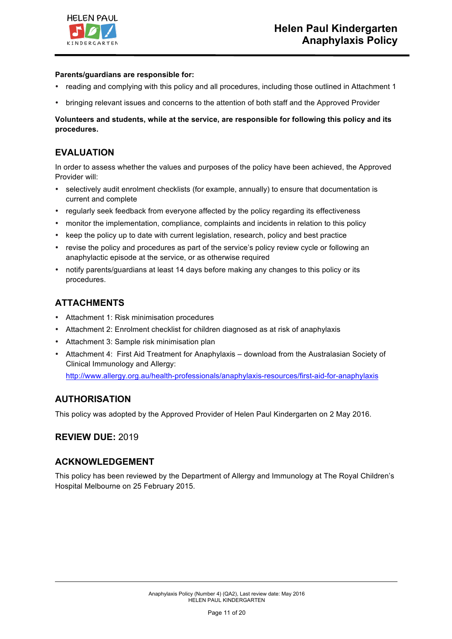

### **Parents/guardians are responsible for:**

- reading and complying with this policy and all procedures, including those outlined in Attachment 1
- bringing relevant issues and concerns to the attention of both staff and the Approved Provider

### **Volunteers and students, while at the service, are responsible for following this policy and its procedures.**

### **EVALUATION**

In order to assess whether the values and purposes of the policy have been achieved, the Approved Provider will:

- selectively audit enrolment checklists (for example, annually) to ensure that documentation is current and complete
- regularly seek feedback from everyone affected by the policy regarding its effectiveness
- monitor the implementation, compliance, complaints and incidents in relation to this policy
- keep the policy up to date with current legislation, research, policy and best practice
- revise the policy and procedures as part of the service's policy review cycle or following an anaphylactic episode at the service, or as otherwise required
- notify parents/guardians at least 14 days before making any changes to this policy or its procedures.

### **ATTACHMENTS**

- Attachment 1: Risk minimisation procedures
- Attachment 2: Enrolment checklist for children diagnosed as at risk of anaphylaxis
- Attachment 3: Sample risk minimisation plan
- Attachment 4: First Aid Treatment for Anaphylaxis download from the Australasian Society of Clinical Immunology and Allergy:

http://www.allergy.org.au/health-professionals/anaphylaxis-resources/first-aid-for-anaphylaxis

### **AUTHORISATION**

This policy was adopted by the Approved Provider of Helen Paul Kindergarten on 2 May 2016.

### **REVIEW DUE:** 2019

### **ACKNOWLEDGEMENT**

This policy has been reviewed by the Department of Allergy and Immunology at The Royal Children's Hospital Melbourne on 25 February 2015.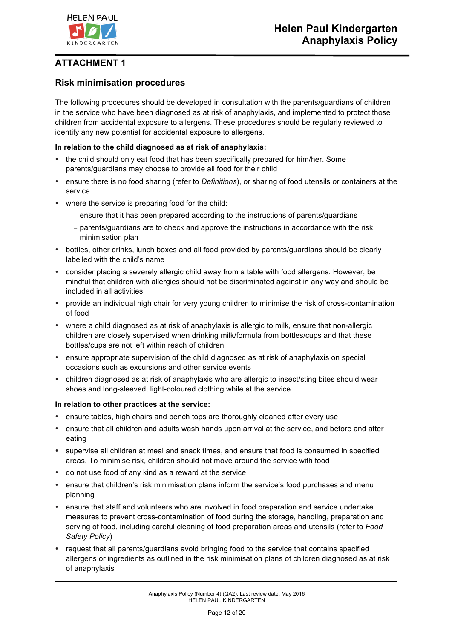

### **Risk minimisation procedures**

The following procedures should be developed in consultation with the parents/guardians of children in the service who have been diagnosed as at risk of anaphylaxis, and implemented to protect those children from accidental exposure to allergens. These procedures should be regularly reviewed to identify any new potential for accidental exposure to allergens.

### **In relation to the child diagnosed as at risk of anaphylaxis:**

- the child should only eat food that has been specifically prepared for him/her. Some parents/guardians may choose to provide all food for their child
- ensure there is no food sharing (refer to *Definitions*), or sharing of food utensils or containers at the service
- where the service is preparing food for the child:
	- − ensure that it has been prepared according to the instructions of parents/guardians
	- − parents/guardians are to check and approve the instructions in accordance with the risk minimisation plan
- bottles, other drinks, lunch boxes and all food provided by parents/guardians should be clearly labelled with the child's name
- consider placing a severely allergic child away from a table with food allergens. However, be mindful that children with allergies should not be discriminated against in any way and should be included in all activities
- provide an individual high chair for very young children to minimise the risk of cross-contamination of food
- where a child diagnosed as at risk of anaphylaxis is allergic to milk, ensure that non-allergic children are closely supervised when drinking milk/formula from bottles/cups and that these bottles/cups are not left within reach of children
- ensure appropriate supervision of the child diagnosed as at risk of anaphylaxis on special occasions such as excursions and other service events
- children diagnosed as at risk of anaphylaxis who are allergic to insect/sting bites should wear shoes and long-sleeved, light-coloured clothing while at the service.

### **In relation to other practices at the service:**

- ensure tables, high chairs and bench tops are thoroughly cleaned after every use
- ensure that all children and adults wash hands upon arrival at the service, and before and after eating
- supervise all children at meal and snack times, and ensure that food is consumed in specified areas. To minimise risk, children should not move around the service with food
- do not use food of any kind as a reward at the service
- ensure that children's risk minimisation plans inform the service's food purchases and menu planning
- ensure that staff and volunteers who are involved in food preparation and service undertake measures to prevent cross-contamination of food during the storage, handling, preparation and serving of food, including careful cleaning of food preparation areas and utensils (refer to *Food Safety Policy*)
- request that all parents/guardians avoid bringing food to the service that contains specified allergens or ingredients as outlined in the risk minimisation plans of children diagnosed as at risk of anaphylaxis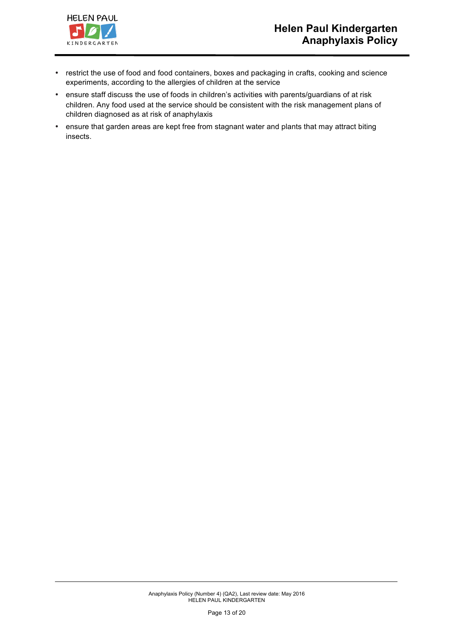

- restrict the use of food and food containers, boxes and packaging in crafts, cooking and science experiments, according to the allergies of children at the service
- ensure staff discuss the use of foods in children's activities with parents/guardians of at risk children. Any food used at the service should be consistent with the risk management plans of children diagnosed as at risk of anaphylaxis
- ensure that garden areas are kept free from stagnant water and plants that may attract biting insects.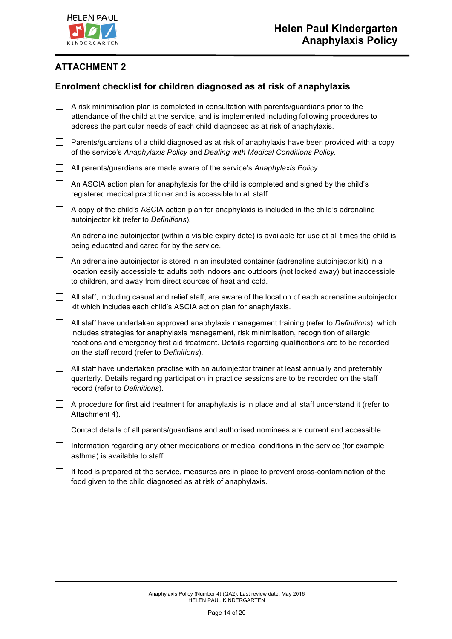

# **Enrolment checklist for children diagnosed as at risk of anaphylaxis**

|        | A risk minimisation plan is completed in consultation with parents/guardians prior to the<br>attendance of the child at the service, and is implemented including following procedures to<br>address the particular needs of each child diagnosed as at risk of anaphylaxis.                                                                      |
|--------|---------------------------------------------------------------------------------------------------------------------------------------------------------------------------------------------------------------------------------------------------------------------------------------------------------------------------------------------------|
| $\Box$ | Parents/guardians of a child diagnosed as at risk of anaphylaxis have been provided with a copy<br>of the service's Anaphylaxis Policy and Dealing with Medical Conditions Policy.                                                                                                                                                                |
| $\Box$ | All parents/guardians are made aware of the service's Anaphylaxis Policy.                                                                                                                                                                                                                                                                         |
| $\Box$ | An ASCIA action plan for anaphylaxis for the child is completed and signed by the child's<br>registered medical practitioner and is accessible to all staff.                                                                                                                                                                                      |
| $\Box$ | A copy of the child's ASCIA action plan for anaphylaxis is included in the child's adrenaline<br>autoinjector kit (refer to Definitions).                                                                                                                                                                                                         |
| $\Box$ | An adrenaline autoinjector (within a visible expiry date) is available for use at all times the child is<br>being educated and cared for by the service.                                                                                                                                                                                          |
| $\Box$ | An adrenaline autoinjector is stored in an insulated container (adrenaline autoinjector kit) in a<br>location easily accessible to adults both indoors and outdoors (not locked away) but inaccessible<br>to children, and away from direct sources of heat and cold.                                                                             |
| $\Box$ | All staff, including casual and relief staff, are aware of the location of each adrenaline autoinjector<br>kit which includes each child's ASCIA action plan for anaphylaxis.                                                                                                                                                                     |
| $\Box$ | All staff have undertaken approved anaphylaxis management training (refer to Definitions), which<br>includes strategies for anaphylaxis management, risk minimisation, recognition of allergic<br>reactions and emergency first aid treatment. Details regarding qualifications are to be recorded<br>on the staff record (refer to Definitions). |
| $\Box$ | All staff have undertaken practise with an autoinjector trainer at least annually and preferably<br>quarterly. Details regarding participation in practice sessions are to be recorded on the staff<br>record (refer to Definitions).                                                                                                             |
| $\Box$ | A procedure for first aid treatment for anaphylaxis is in place and all staff understand it (refer to<br>Attachment 4).                                                                                                                                                                                                                           |
| $\Box$ | Contact details of all parents/guardians and authorised nominees are current and accessible.                                                                                                                                                                                                                                                      |
| $\Box$ | Information regarding any other medications or medical conditions in the service (for example<br>asthma) is available to staff.                                                                                                                                                                                                                   |
|        | If food is prepared at the service, measures are in place to prevent cross-contamination of the<br>food given to the child diagnosed as at risk of anaphylaxis.                                                                                                                                                                                   |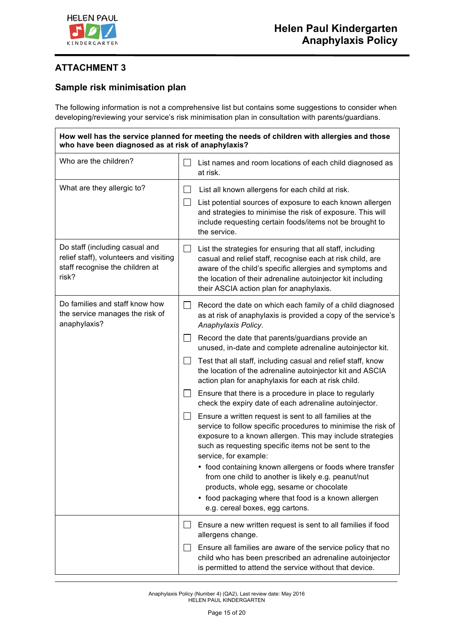

### **Sample risk minimisation plan**

The following information is not a comprehensive list but contains some suggestions to consider when developing/reviewing your service's risk minimisation plan in consultation with parents/guardians.

**How well has the service planned for meeting the needs of children with allergies and those who have been diagnosed as at risk of anaphylaxis?** Who are the children?  $\Box$  List names and room locations of each child diagnosed as at risk. What are they allergic to?  $\Box$  List all known allergens for each child at risk.  $\Box$  List potential sources of exposure to each known allergen and strategies to minimise the risk of exposure. This will include requesting certain foods/items not be brought to the service. Do staff (including casual and relief staff), volunteers and visiting staff recognise the children at risk?  $\Box$  List the strategies for ensuring that all staff, including casual and relief staff, recognise each at risk child, are aware of the child's specific allergies and symptoms and the location of their adrenaline autoinjector kit including their ASCIA action plan for anaphylaxis. Do families and staff know how the service manages the risk of anaphylaxis?  $\Box$  Record the date on which each family of a child diagnosed as at risk of anaphylaxis is provided a copy of the service's *Anaphylaxis Policy*.  $\Box$  Record the date that parents/quardians provide an unused, in-date and complete adrenaline autoinjector kit.  $\Box$  Test that all staff, including casual and relief staff, know the location of the adrenaline autoinjector kit and ASCIA action plan for anaphylaxis for each at risk child.  $\Box$  Ensure that there is a procedure in place to regularly check the expiry date of each adrenaline autoinjector.  $\Box$  Ensure a written request is sent to all families at the service to follow specific procedures to minimise the risk of exposure to a known allergen. This may include strategies such as requesting specific items not be sent to the service, for example: • food containing known allergens or foods where transfer from one child to another is likely e.g. peanut/nut products, whole egg, sesame or chocolate • food packaging where that food is a known allergen e.g. cereal boxes, egg cartons.  $\Box$  Ensure a new written request is sent to all families if food allergens change. Ensure all families are aware of the service policy that no child who has been prescribed an adrenaline autoinjector is permitted to attend the service without that device.

> Anaphylaxis Policy (Number 4) (QA2), Last review date: May 2016 HELEN PAUL KINDERGARTEN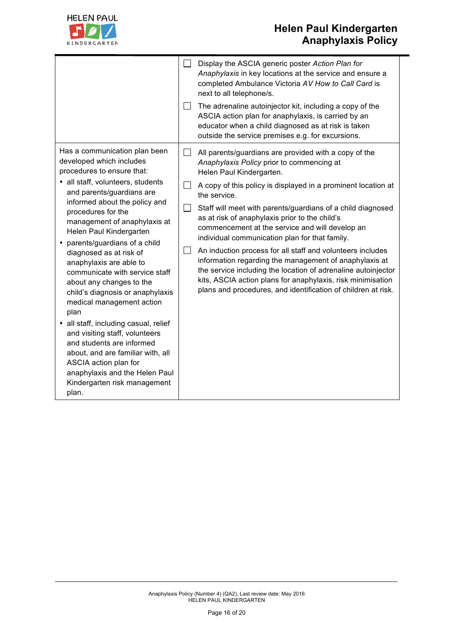

# **Helen Paul Kindergarten Anaphylaxis Policy**

|                                                                                                                                                                                                                                                                                                                                                                                                                                                                                                                                                                                                                                                                                                                                                  |        | Display the ASCIA generic poster Action Plan for<br>Anaphylaxis in key locations at the service and ensure a<br>completed Ambulance Victoria AV How to Call Card is<br>next to all telephone/s.                                                                                                                                                                                                                                                                                                                                                                                                                                                                                                                                                                |
|--------------------------------------------------------------------------------------------------------------------------------------------------------------------------------------------------------------------------------------------------------------------------------------------------------------------------------------------------------------------------------------------------------------------------------------------------------------------------------------------------------------------------------------------------------------------------------------------------------------------------------------------------------------------------------------------------------------------------------------------------|--------|----------------------------------------------------------------------------------------------------------------------------------------------------------------------------------------------------------------------------------------------------------------------------------------------------------------------------------------------------------------------------------------------------------------------------------------------------------------------------------------------------------------------------------------------------------------------------------------------------------------------------------------------------------------------------------------------------------------------------------------------------------------|
|                                                                                                                                                                                                                                                                                                                                                                                                                                                                                                                                                                                                                                                                                                                                                  | $\Box$ | The adrenaline autoinjector kit, including a copy of the<br>ASCIA action plan for anaphylaxis, is carried by an<br>educator when a child diagnosed as at risk is taken<br>outside the service premises e.g. for excursions.                                                                                                                                                                                                                                                                                                                                                                                                                                                                                                                                    |
| Has a communication plan been<br>developed which includes<br>procedures to ensure that:<br>• all staff, volunteers, students<br>and parents/guardians are<br>informed about the policy and<br>procedures for the<br>management of anaphylaxis at<br>Helen Paul Kindergarten<br>parents/guardians of a child<br>diagnosed as at risk of<br>anaphylaxis are able to<br>communicate with service staff<br>about any changes to the<br>child's diagnosis or anaphylaxis<br>medical management action<br>plan<br>• all staff, including casual, relief<br>and visiting staff, volunteers<br>and students are informed<br>about, and are familiar with, all<br>ASCIA action plan for<br>anaphylaxis and the Helen Paul<br>Kindergarten risk management | $\Box$ | All parents/guardians are provided with a copy of the<br>Anaphylaxis Policy prior to commencing at<br>Helen Paul Kindergarten.<br>A copy of this policy is displayed in a prominent location at<br>the service.<br>Staff will meet with parents/guardians of a child diagnosed<br>as at risk of anaphylaxis prior to the child's<br>commencement at the service and will develop an<br>individual communication plan for that family.<br>An induction process for all staff and volunteers includes<br>information regarding the management of anaphylaxis at<br>the service including the location of adrenaline autoinjector<br>kits, ASCIA action plans for anaphylaxis, risk minimisation<br>plans and procedures, and identification of children at risk. |
| plan.                                                                                                                                                                                                                                                                                                                                                                                                                                                                                                                                                                                                                                                                                                                                            |        |                                                                                                                                                                                                                                                                                                                                                                                                                                                                                                                                                                                                                                                                                                                                                                |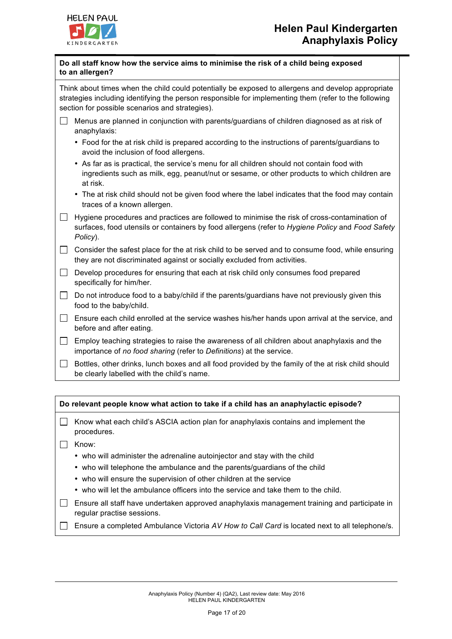

| Do all staff know how the service aims to minimise the risk of a child being exposed |  |
|--------------------------------------------------------------------------------------|--|
| to an allergen?                                                                      |  |

Think about times when the child could potentially be exposed to allergens and develop appropriate strategies including identifying the person responsible for implementing them (refer to the following section for possible scenarios and strategies).

- $\Box$  Menus are planned in conjunction with parents/guardians of children diagnosed as at risk of anaphylaxis:
	- Food for the at risk child is prepared according to the instructions of parents/guardians to avoid the inclusion of food allergens.
	- As far as is practical, the service's menu for all children should not contain food with ingredients such as milk, egg, peanut/nut or sesame, or other products to which children are at risk.
	- The at risk child should not be given food where the label indicates that the food may contain traces of a known allergen.
- $\Box$  Hygiene procedures and practices are followed to minimise the risk of cross-contamination of surfaces, food utensils or containers by food allergens (refer to *Hygiene Policy* and *Food Safety Policy*).

 $\Box$  Consider the safest place for the at risk child to be served and to consume food, while ensuring they are not discriminated against or socially excluded from activities.

- $\Box$  Develop procedures for ensuring that each at risk child only consumes food prepared specifically for him/her.
- $\Box$  Do not introduce food to a baby/child if the parents/quardians have not previously given this food to the baby/child.
- $\Box$  Ensure each child enrolled at the service washes his/her hands upon arrival at the service, and before and after eating.
- $\Box$  Employ teaching strategies to raise the awareness of all children about anaphylaxis and the importance of *no food sharing* (refer to *Definitions*) at the service.
- $\Box$  Bottles, other drinks, lunch boxes and all food provided by the family of the at risk child should be clearly labelled with the child's name.

| Do relevant people know what action to take if a child has an anaphylactic episode? |                                                                                                    |  |  |
|-------------------------------------------------------------------------------------|----------------------------------------------------------------------------------------------------|--|--|
| $\mathbf{1}$                                                                        | Know what each child's ASCIA action plan for anaphylaxis contains and implement the<br>procedures. |  |  |
|                                                                                     | Know:                                                                                              |  |  |
|                                                                                     | • who will administer the adrenaline autoinjector and stay with the child                          |  |  |
|                                                                                     | hild a ull tolenders the ambulones and the nereptate usual and the ebild                           |  |  |

- who will telephone the ambulance and the parents/guardians of the child
- who will ensure the supervision of other children at the service
- who will let the ambulance officers into the service and take them to the child.
- $\Box$  Ensure all staff have undertaken approved anaphylaxis management training and participate in regular practise sessions.
- Ensure a completed Ambulance Victoria *AV How to Call Card* is located next to all telephone/s.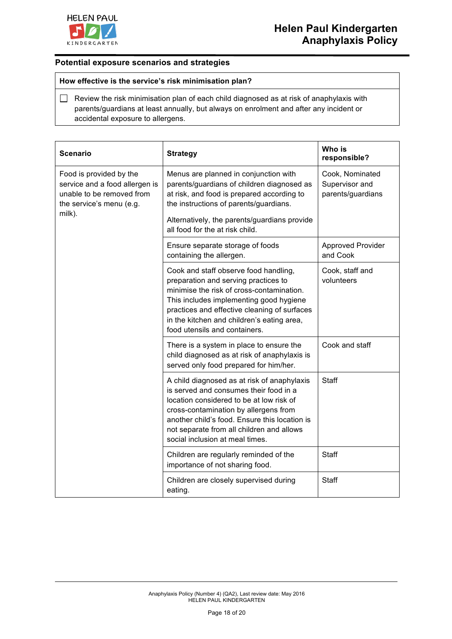

### **Potential exposure scenarios and strategies**

### **How effective is the service's risk minimisation plan?**

 $\Box$  Review the risk minimisation plan of each child diagnosed as at risk of anaphylaxis with parents/guardians at least annually, but always on enrolment and after any incident or accidental exposure to allergens.

| <b>Scenario</b>                                                                                                              | <b>Strategy</b>                                                                                                                                                                                                                                                                                             | Who is<br>responsible?                                 |
|------------------------------------------------------------------------------------------------------------------------------|-------------------------------------------------------------------------------------------------------------------------------------------------------------------------------------------------------------------------------------------------------------------------------------------------------------|--------------------------------------------------------|
| Food is provided by the<br>service and a food allergen is<br>unable to be removed from<br>the service's menu (e.g.<br>milk). | Menus are planned in conjunction with<br>parents/guardians of children diagnosed as<br>at risk, and food is prepared according to<br>the instructions of parents/guardians.<br>Alternatively, the parents/guardians provide<br>all food for the at risk child.                                              | Cook, Nominated<br>Supervisor and<br>parents/guardians |
|                                                                                                                              | Ensure separate storage of foods<br>containing the allergen.                                                                                                                                                                                                                                                | <b>Approved Provider</b><br>and Cook                   |
|                                                                                                                              | Cook and staff observe food handling,<br>preparation and serving practices to<br>minimise the risk of cross-contamination.<br>This includes implementing good hygiene<br>practices and effective cleaning of surfaces<br>in the kitchen and children's eating area,<br>food utensils and containers.        | Cook, staff and<br>volunteers                          |
|                                                                                                                              | There is a system in place to ensure the<br>child diagnosed as at risk of anaphylaxis is<br>served only food prepared for him/her.                                                                                                                                                                          | Cook and staff                                         |
|                                                                                                                              | A child diagnosed as at risk of anaphylaxis<br>is served and consumes their food in a<br>location considered to be at low risk of<br>cross-contamination by allergens from<br>another child's food. Ensure this location is<br>not separate from all children and allows<br>social inclusion at meal times. | <b>Staff</b>                                           |
|                                                                                                                              | Children are regularly reminded of the<br>importance of not sharing food.                                                                                                                                                                                                                                   | Staff                                                  |
|                                                                                                                              | Children are closely supervised during<br>eating.                                                                                                                                                                                                                                                           | <b>Staff</b>                                           |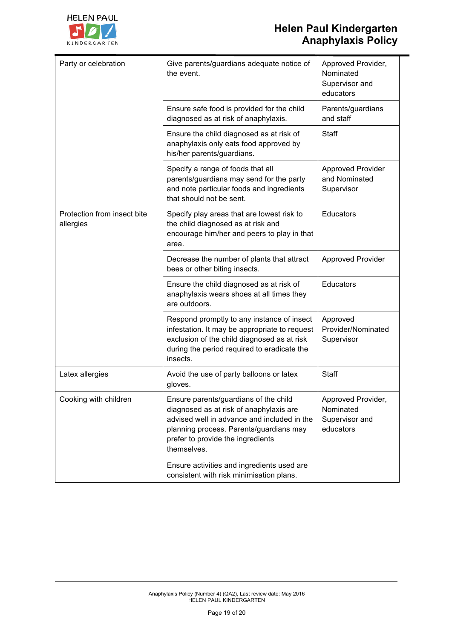

# **Helen Paul Kindergarten Anaphylaxis Policy**

| Party or celebration                     | Give parents/guardians adequate notice of<br>the event.                                                                                                                                                                                                                      | Approved Provider,<br>Nominated<br>Supervisor and<br>educators |
|------------------------------------------|------------------------------------------------------------------------------------------------------------------------------------------------------------------------------------------------------------------------------------------------------------------------------|----------------------------------------------------------------|
|                                          | Ensure safe food is provided for the child<br>diagnosed as at risk of anaphylaxis.                                                                                                                                                                                           | Parents/guardians<br>and staff                                 |
|                                          | Ensure the child diagnosed as at risk of<br>anaphylaxis only eats food approved by<br>his/her parents/guardians.                                                                                                                                                             | Staff                                                          |
|                                          | Specify a range of foods that all<br>parents/guardians may send for the party<br>and note particular foods and ingredients<br>that should not be sent.                                                                                                                       | <b>Approved Provider</b><br>and Nominated<br>Supervisor        |
| Protection from insect bite<br>allergies | Specify play areas that are lowest risk to<br>the child diagnosed as at risk and<br>encourage him/her and peers to play in that<br>area.                                                                                                                                     | Educators                                                      |
|                                          | Decrease the number of plants that attract<br>bees or other biting insects.                                                                                                                                                                                                  | <b>Approved Provider</b>                                       |
|                                          | Ensure the child diagnosed as at risk of<br>anaphylaxis wears shoes at all times they<br>are outdoors.                                                                                                                                                                       | Educators                                                      |
|                                          | Respond promptly to any instance of insect<br>infestation. It may be appropriate to request<br>exclusion of the child diagnosed as at risk<br>during the period required to eradicate the<br>insects.                                                                        | Approved<br>Provider/Nominated<br>Supervisor                   |
| Latex allergies                          | Avoid the use of party balloons or latex<br>gloves.                                                                                                                                                                                                                          | Staff                                                          |
| Cooking with children                    | Ensure parents/guardians of the child<br>diagnosed as at risk of anaphylaxis are<br>advised well in advance and included in the<br>planning process. Parents/guardians may<br>prefer to provide the ingredients<br>themselves.<br>Ensure activities and ingredients used are | Approved Provider,<br>Nominated<br>Supervisor and<br>educators |
|                                          | consistent with risk minimisation plans.                                                                                                                                                                                                                                     |                                                                |